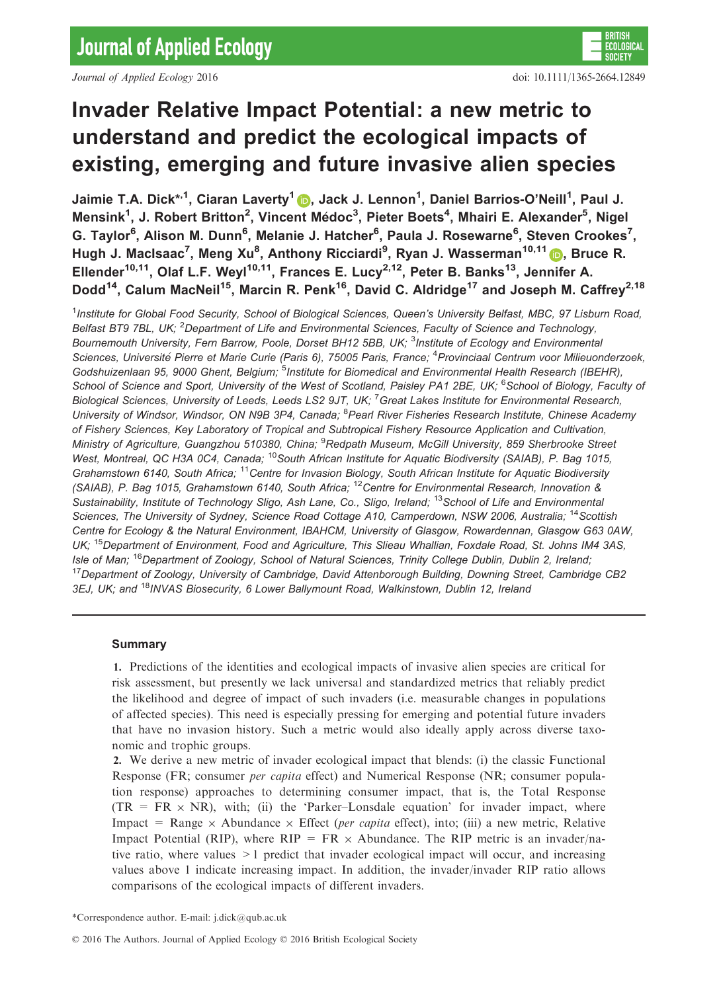Journal of Applied Ecology 2016 doi: 10.1111/1365-2664.12849

# Invader Relative Impact Potential: a new metric to understand and predict the ecological impacts of existing, emerging and future invasive alien species

Jaimie T.A. Dick\*<sup>,[1](http://orcid.org/0000-0002-4162-1503)</sup>, Ciaran Laverty<sup>1</sup> (<mark>b</mark>, Jack J. Lennon<sup>1</sup>, Daniel Barrios-O'Neill<sup>1</sup>, Paul J. Mensink<sup>1</sup>, J. Robert Britton<sup>2</sup>, Vincent Médoc<sup>3</sup>, Pieter Boets<sup>4</sup>, Mhairi E. Alexander<sup>5</sup>, Nigel G. Taylor<sup>6</sup>, Alison M. Dunn<sup>6</sup>, Melanie J. Hatcher<sup>6</sup>, Paula J. Rosewarne<sup>6</sup>, Steven Crookes<sup>7</sup>, Hugh J. MacIsaac<sup>7</sup>, Meng Xu<sup>8</sup>, Anthony Ricciardi<sup>9</sup>, Ryan J. Wasserman<sup>10,11</sup> D, Bruce R. Ellender<sup>10,11</sup>, Olaf L.F. Weyl<sup>10,11</sup>, Frances E. Lucy<sup>2,12</sup>, Peter B. Banks<sup>13</sup>, Jennifer A. Dodd<sup>14</sup>, Calum MacNeil<sup>15</sup>, Marcin R. Penk<sup>16</sup>, David C. Aldridge<sup>17</sup> and Joseph M. Caffrey<sup>2,18</sup>

<sup>1</sup>Institute for Global Food Security, School of Biological Sciences, Queen's University Belfast, MBC, 97 Lisburn Road, Belfast BT9 7BL, UK; <sup>2</sup>Department of Life and Environmental Sciences, Faculty of Science and Technology, Bournemouth University, Fern Barrow, Poole, Dorset BH12 5BB, UK; <sup>3</sup>Institute of Ecology and Environmental Sciences, Université Pierre et Marie Curie (Paris 6), 75005 Paris, France; <sup>4</sup> Provinciaal Centrum voor Milieuonderzoek, Godshuizenlaan 95, 9000 Ghent, Belgium; <sup>5</sup>Institute for Biomedical and Environmental Health Research (IBEHR), School of Science and Sport, University of the West of Scotland, Paisley PA1 2BE, UK; <sup>6</sup>School of Biology, Faculty ot Biological Sciences, University of Leeds, Leeds LS2 9JT, UK; <sup>7</sup> Great Lakes Institute for Environmental Research, University of Windsor, Windsor, ON N9B 3P4, Canada; <sup>8</sup> Pearl River Fisheries Research Institute, Chinese Academy of Fishery Sciences, Key Laboratory of Tropical and Subtropical Fishery Resource Application and Cultivation, Ministry of Agriculture, Guangzhou 510380, China; <sup>9</sup>Redpath Museum, McGill University, 859 Sherbrooke Street West, Montreal, QC H3A 0C4, Canada; <sup>10</sup>South African Institute for Aquatic Biodiversity (SAIAB), P. Bag 1015, Grahamstown 6140, South Africa; <sup>11</sup>Centre for Invasion Biology, South African Institute for Aquatic Biodiversity (SAIAB), P. Bag 1015, Grahamstown 6140, South Africa; <sup>12</sup>Centre for Environmental Research, Innovation & Sustainability, Institute of Technology Sligo, Ash Lane, Co., Sligo, Ireland; <sup>13</sup>School of Life and Environmental Sciences, The University of Sydney, Science Road Cottage A10, Camperdown, NSW 2006, Australia; <sup>14</sup> Scottish Centre for Ecology & the Natural Environment, IBAHCM, University of Glasgow, Rowardennan, Glasgow G63 0AW, UK; <sup>15</sup>Department of Environment, Food and Agriculture, This Slieau Whallian, Foxdale Road, St. Johns IM4 3AS, Isle of Man; <sup>16</sup>Department of Zoology, School of Natural Sciences, Trinity College Dublin, Dublin 2, Ireland; <sup>17</sup>Department of Zoology, University of Cambridge, David Attenborough Building, Downing Street, Cambridge CB2 3EJ, UK; and <sup>18</sup>INVAS Biosecurity, 6 Lower Ballymount Road, Walkinstown, Dublin 12, Ireland

## Summary

1. Predictions of the identities and ecological impacts of invasive alien species are critical for risk assessment, but presently we lack universal and standardized metrics that reliably predict the likelihood and degree of impact of such invaders (i.e. measurable changes in populations of affected species). This need is especially pressing for emerging and potential future invaders that have no invasion history. Such a metric would also ideally apply across diverse taxonomic and trophic groups.

2. We derive a new metric of invader ecological impact that blends: (i) the classic Functional Response (FR; consumer *per capita* effect) and Numerical Response (NR; consumer population response) approaches to determining consumer impact, that is, the Total Response  $(TR = FR \times NR)$ , with; (ii) the 'Parker–Lonsdale equation' for invader impact, where Impact = Range  $\times$  Abundance  $\times$  Effect (*per capita* effect), into; (iii) a new metric, Relative Impact Potential (RIP), where  $RIP = FR \times$  Abundance. The RIP metric is an invader/native ratio, where values >1 predict that invader ecological impact will occur, and increasing values above 1 indicate increasing impact. In addition, the invader/invader RIP ratio allows comparisons of the ecological impacts of different invaders.

<sup>\*</sup>Correspondence author. E-mail: j.dick@qub.ac.uk

<sup>©</sup> 2016 The Authors. Journal of Applied Ecology © 2016 British Ecological Society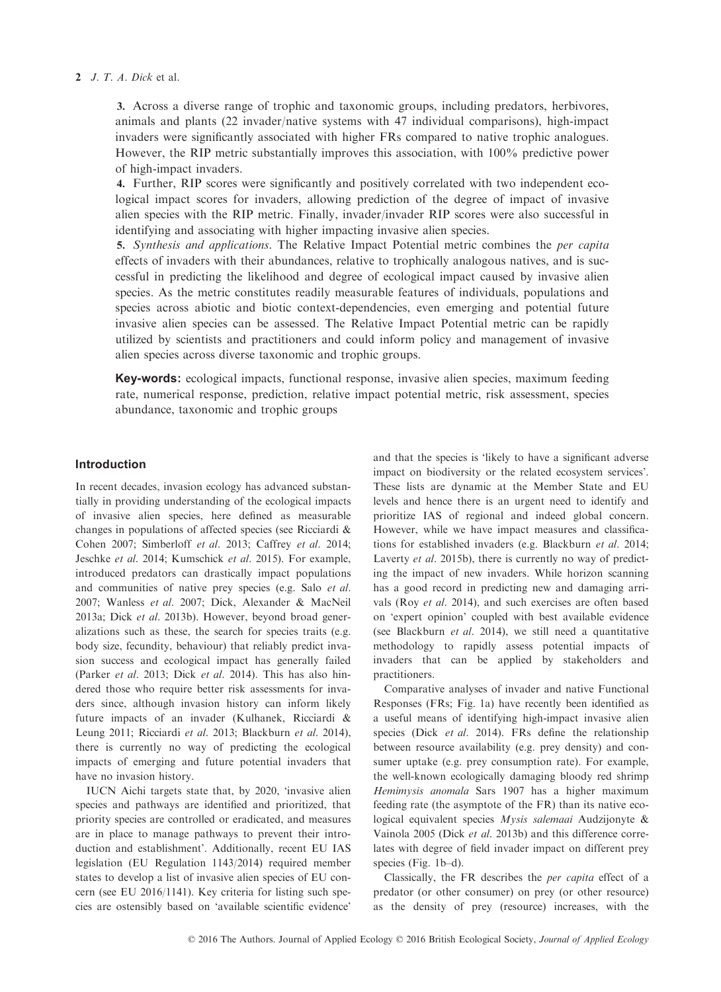#### 2 J. T. A. Dick et al.

3. Across a diverse range of trophic and taxonomic groups, including predators, herbivores, animals and plants (22 invader/native systems with 47 individual comparisons), high-impact invaders were significantly associated with higher FRs compared to native trophic analogues. However, the RIP metric substantially improves this association, with 100% predictive power of high-impact invaders.

4. Further, RIP scores were significantly and positively correlated with two independent ecological impact scores for invaders, allowing prediction of the degree of impact of invasive alien species with the RIP metric. Finally, invader/invader RIP scores were also successful in identifying and associating with higher impacting invasive alien species.

5. Synthesis and applications. The Relative Impact Potential metric combines the per capita effects of invaders with their abundances, relative to trophically analogous natives, and is successful in predicting the likelihood and degree of ecological impact caused by invasive alien species. As the metric constitutes readily measurable features of individuals, populations and species across abiotic and biotic context-dependencies, even emerging and potential future invasive alien species can be assessed. The Relative Impact Potential metric can be rapidly utilized by scientists and practitioners and could inform policy and management of invasive alien species across diverse taxonomic and trophic groups.

Key-words: ecological impacts, functional response, invasive alien species, maximum feeding rate, numerical response, prediction, relative impact potential metric, risk assessment, species abundance, taxonomic and trophic groups

## Introduction

In recent decades, invasion ecology has advanced substantially in providing understanding of the ecological impacts of invasive alien species, here defined as measurable changes in populations of affected species (see Ricciardi & Cohen 2007; Simberloff et al. 2013; Caffrey et al. 2014; Jeschke et al. 2014; Kumschick et al. 2015). For example, introduced predators can drastically impact populations and communities of native prey species (e.g. Salo et al. 2007; Wanless et al. 2007; Dick, Alexander & MacNeil 2013a; Dick et al. 2013b). However, beyond broad generalizations such as these, the search for species traits (e.g. body size, fecundity, behaviour) that reliably predict invasion success and ecological impact has generally failed (Parker et al. 2013; Dick et al. 2014). This has also hindered those who require better risk assessments for invaders since, although invasion history can inform likely future impacts of an invader (Kulhanek, Ricciardi & Leung 2011; Ricciardi et al. 2013; Blackburn et al. 2014), there is currently no way of predicting the ecological impacts of emerging and future potential invaders that have no invasion history.

IUCN Aichi targets state that, by 2020, 'invasive alien species and pathways are identified and prioritized, that priority species are controlled or eradicated, and measures are in place to manage pathways to prevent their introduction and establishment'. Additionally, recent EU IAS legislation (EU Regulation 1143/2014) required member states to develop a list of invasive alien species of EU concern (see EU 2016/1141). Key criteria for listing such species are ostensibly based on 'available scientific evidence'

and that the species is 'likely to have a significant adverse impact on biodiversity or the related ecosystem services'. These lists are dynamic at the Member State and EU levels and hence there is an urgent need to identify and prioritize IAS of regional and indeed global concern. However, while we have impact measures and classifications for established invaders (e.g. Blackburn et al. 2014; Laverty et al. 2015b), there is currently no way of predicting the impact of new invaders. While horizon scanning has a good record in predicting new and damaging arrivals (Roy et al. 2014), and such exercises are often based on 'expert opinion' coupled with best available evidence (see Blackburn et al. 2014), we still need a quantitative methodology to rapidly assess potential impacts of invaders that can be applied by stakeholders and practitioners.

Comparative analyses of invader and native Functional Responses (FRs; Fig. 1a) have recently been identified as a useful means of identifying high-impact invasive alien species (Dick et al. 2014). FRs define the relationship between resource availability (e.g. prey density) and consumer uptake (e.g. prey consumption rate). For example, the well-known ecologically damaging bloody red shrimp Hemimysis anomala Sars 1907 has a higher maximum feeding rate (the asymptote of the FR) than its native ecological equivalent species Mysis salemaai Audzijonyte & Vainola 2005 (Dick et al. 2013b) and this difference correlates with degree of field invader impact on different prey species (Fig. 1b–d).

Classically, the FR describes the per capita effect of a predator (or other consumer) on prey (or other resource) as the density of prey (resource) increases, with the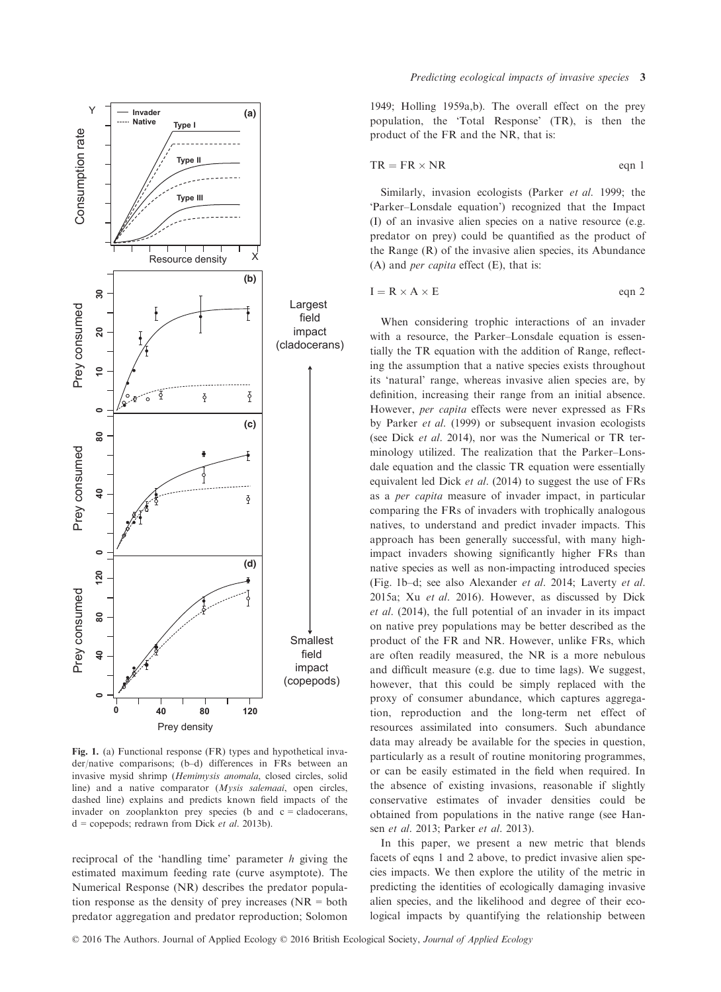

Fig. 1. (a) Functional response (FR) types and hypothetical invader/native comparisons; (b–d) differences in FRs between an invasive mysid shrimp (Hemimysis anomala, closed circles, solid line) and a native comparator (Mysis salemaai, open circles, dashed line) explains and predicts known field impacts of the invader on zooplankton prey species (b and  $c =$  cladocerans,  $d =$  copepods; redrawn from Dick et al. 2013b).

reciprocal of the 'handling time' parameter h giving the estimated maximum feeding rate (curve asymptote). The Numerical Response (NR) describes the predator population response as the density of prey increases ( $NR = both$ predator aggregation and predator reproduction; Solomon 1949; Holling 1959a,b). The overall effect on the prey population, the 'Total Response' (TR), is then the product of the FR and the NR, that is:

$$
TR = FR \times NR
$$
 eqn 1

Similarly, invasion ecologists (Parker *et al.* 1999; the 'Parker–Lonsdale equation') recognized that the Impact (I) of an invasive alien species on a native resource (e.g. predator on prey) could be quantified as the product of the Range (R) of the invasive alien species, its Abundance (A) and *per capita* effect  $(E)$ , that is:

$$
I = R \times A \times E \qquad \text{eqn 2}
$$

When considering trophic interactions of an invader with a resource, the Parker–Lonsdale equation is essentially the TR equation with the addition of Range, reflecting the assumption that a native species exists throughout its 'natural' range, whereas invasive alien species are, by definition, increasing their range from an initial absence. However, per capita effects were never expressed as FRs by Parker et al. (1999) or subsequent invasion ecologists (see Dick et al. 2014), nor was the Numerical or TR terminology utilized. The realization that the Parker–Lonsdale equation and the classic TR equation were essentially equivalent led Dick et al. (2014) to suggest the use of FRs as a per capita measure of invader impact, in particular comparing the FRs of invaders with trophically analogous natives, to understand and predict invader impacts. This approach has been generally successful, with many highimpact invaders showing significantly higher FRs than native species as well as non-impacting introduced species (Fig. 1b–d; see also Alexander et al. 2014; Laverty et al. 2015a; Xu et al. 2016). However, as discussed by Dick et al. (2014), the full potential of an invader in its impact on native prey populations may be better described as the product of the FR and NR. However, unlike FRs, which are often readily measured, the NR is a more nebulous and difficult measure (e.g. due to time lags). We suggest, however, that this could be simply replaced with the proxy of consumer abundance, which captures aggregation, reproduction and the long-term net effect of resources assimilated into consumers. Such abundance data may already be available for the species in question, particularly as a result of routine monitoring programmes, or can be easily estimated in the field when required. In the absence of existing invasions, reasonable if slightly conservative estimates of invader densities could be obtained from populations in the native range (see Hansen et al. 2013; Parker et al. 2013).

In this paper, we present a new metric that blends facets of eqns 1 and 2 above, to predict invasive alien species impacts. We then explore the utility of the metric in predicting the identities of ecologically damaging invasive alien species, and the likelihood and degree of their ecological impacts by quantifying the relationship between

© 2016 The Authors. Journal of Applied Ecology © 2016 British Ecological Society, Journal of Applied Ecology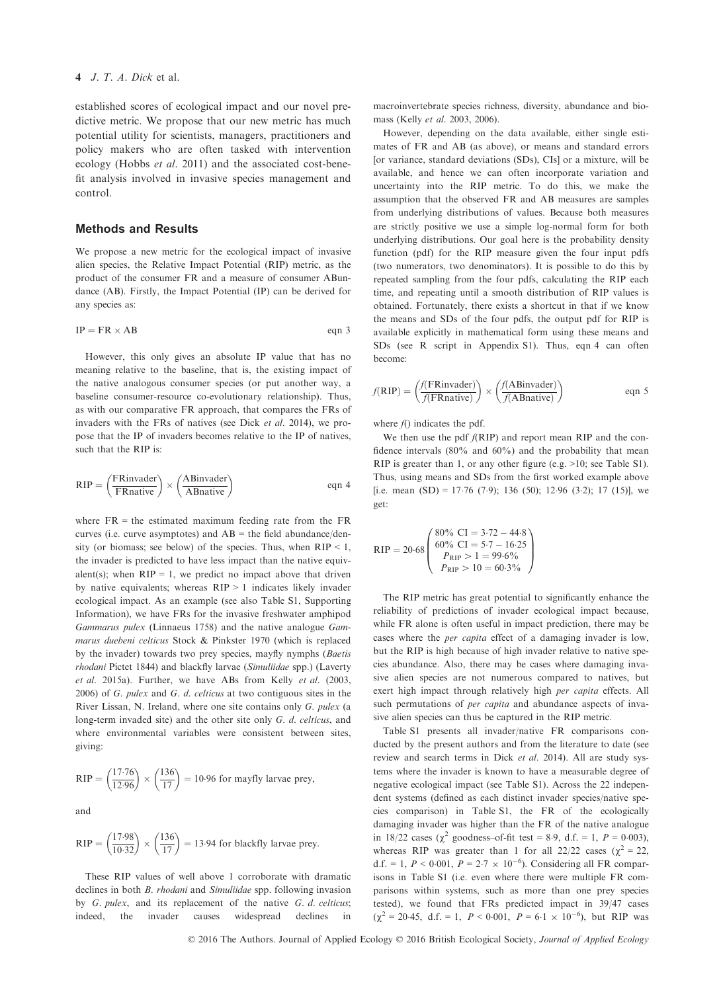#### 4 J. T. A. Dick et al.

established scores of ecological impact and our novel predictive metric. We propose that our new metric has much potential utility for scientists, managers, practitioners and policy makers who are often tasked with intervention ecology (Hobbs et al. 2011) and the associated cost-benefit analysis involved in invasive species management and control.

## Methods and Results

We propose a new metric for the ecological impact of invasive alien species, the Relative Impact Potential (RIP) metric, as the product of the consumer FR and a measure of consumer ABundance (AB). Firstly, the Impact Potential (IP) can be derived for any species as:

$$
IP = FR \times AB \qquad \qquad \text{eqn 3}
$$

However, this only gives an absolute IP value that has no meaning relative to the baseline, that is, the existing impact of the native analogous consumer species (or put another way, a baseline consumer-resource co-evolutionary relationship). Thus, as with our comparative FR approach, that compares the FRs of invaders with the FRs of natives (see Dick et al. 2014), we propose that the IP of invaders becomes relative to the IP of natives, such that the RIP is:

$$
RIP = \left(\frac{FRinvader}{FRnative}\right) \times \left(\frac{ABinvader}{ABnative}\right) \qquad \text{eqn 4}
$$

where  $FR =$  the estimated maximum feeding rate from the  $FR$ curves (i.e. curve asymptotes) and  $AB =$  the field abundance/density (or biomass; see below) of the species. Thus, when  $RIP < 1$ , the invader is predicted to have less impact than the native equivalent(s); when  $RIP = 1$ , we predict no impact above that driven by native equivalents; whereas RIP > 1 indicates likely invader ecological impact. As an example (see also Table S1, Supporting Information), we have FRs for the invasive freshwater amphipod Gammarus pulex (Linnaeus 1758) and the native analogue Gammarus duebeni celticus Stock & Pinkster 1970 (which is replaced by the invader) towards two prey species, mayfly nymphs (Baetis rhodani Pictet 1844) and blackfly larvae (Simuliidae spp.) (Laverty et al. 2015a). Further, we have ABs from Kelly et al. (2003, 2006) of G. pulex and G. d. celticus at two contiguous sites in the River Lissan, N. Ireland, where one site contains only G. pulex (a long-term invaded site) and the other site only G. d. celticus, and where environmental variables were consistent between sites, giving:

RIP = 
$$
\left(\frac{17.76}{12.96}\right) \times \left(\frac{136}{17}\right) = 10.96
$$
 for mayfly larvae prey,

and

$$
RIP = \left(\frac{17.98}{10.32}\right) \times \left(\frac{136}{17}\right) = 13.94
$$
 for blackfly larvae prey.

These RIP values of well above 1 corroborate with dramatic declines in both *B. rhodani* and *Simuliidae* spp. following invasion by G. pulex, and its replacement of the native G. d. celticus; indeed, the invader causes widespread declines in

macroinvertebrate species richness, diversity, abundance and biomass (Kelly et al. 2003, 2006).

However, depending on the data available, either single estimates of FR and AB (as above), or means and standard errors [or variance, standard deviations (SDs), CIs] or a mixture, will be available, and hence we can often incorporate variation and uncertainty into the RIP metric. To do this, we make the assumption that the observed FR and AB measures are samples from underlying distributions of values. Because both measures are strictly positive we use a simple log-normal form for both underlying distributions. Our goal here is the probability density function (pdf) for the RIP measure given the four input pdfs (two numerators, two denominators). It is possible to do this by repeated sampling from the four pdfs, calculating the RIP each time, and repeating until a smooth distribution of RIP values is obtained. Fortunately, there exists a shortcut in that if we know the means and SDs of the four pdfs, the output pdf for RIP is available explicitly in mathematical form using these means and SDs (see R script in Appendix S1). Thus, eqn 4 can often become:

$$
f(RIP) = \left(\frac{f(FRinvader)}{f(FRnative)}\right) \times \left(\frac{f(ABinvader)}{f(ABnative)}\right)
$$
eqn 5

where  $f()$  indicates the pdf.

We then use the pdf  $f(RIP)$  and report mean RIP and the confidence intervals (80% and 60%) and the probability that mean RIP is greater than 1, or any other figure (e.g. >10; see Table S1). Thus, using means and SDs from the first worked example above [i.e. mean (SD) = 17.76 (7.9); 136 (50); 12.96 (3.2); 17 (15)], we get:

$$
RIP = 20.68 \begin{pmatrix} 80\% \text{ CI} = 3.72 - 44.8 \\ 60\% \text{ CI} = 5.7 - 16.25 \\ P_{RIP} > 1 = 99.6\% \\ P_{RIP} > 10 = 60.3\% \end{pmatrix}
$$

The RIP metric has great potential to significantly enhance the reliability of predictions of invader ecological impact because, while FR alone is often useful in impact prediction, there may be cases where the per capita effect of a damaging invader is low, but the RIP is high because of high invader relative to native species abundance. Also, there may be cases where damaging invasive alien species are not numerous compared to natives, but exert high impact through relatively high per capita effects. All such permutations of *per capita* and abundance aspects of invasive alien species can thus be captured in the RIP metric.

Table S1 presents all invader/native FR comparisons conducted by the present authors and from the literature to date (see review and search terms in Dick et al. 2014). All are study systems where the invader is known to have a measurable degree of negative ecological impact (see Table S1). Across the 22 independent systems (defined as each distinct invader species/native species comparison) in Table S1, the FR of the ecologically damaging invader was higher than the FR of the native analogue in 18/22 cases ( $\chi^2$  goodness–of-fit test = 8.9, d.f. = 1,  $P = 0.003$ ), whereas RIP was greater than 1 for all 22/22 cases ( $\chi^2 = 22$ , d.f. = 1,  $P < 0.001$ ,  $P = 2.7 \times 10^{-6}$ ). Considering all FR comparisons in Table S1 (i.e. even where there were multiple FR comparisons within systems, such as more than one prey species tested), we found that FRs predicted impact in 39/47 cases  $(\chi^2 = 20.45, d.f. = 1, P < 0.001, P = 6.1 \times 10^{-6})$ , but RIP was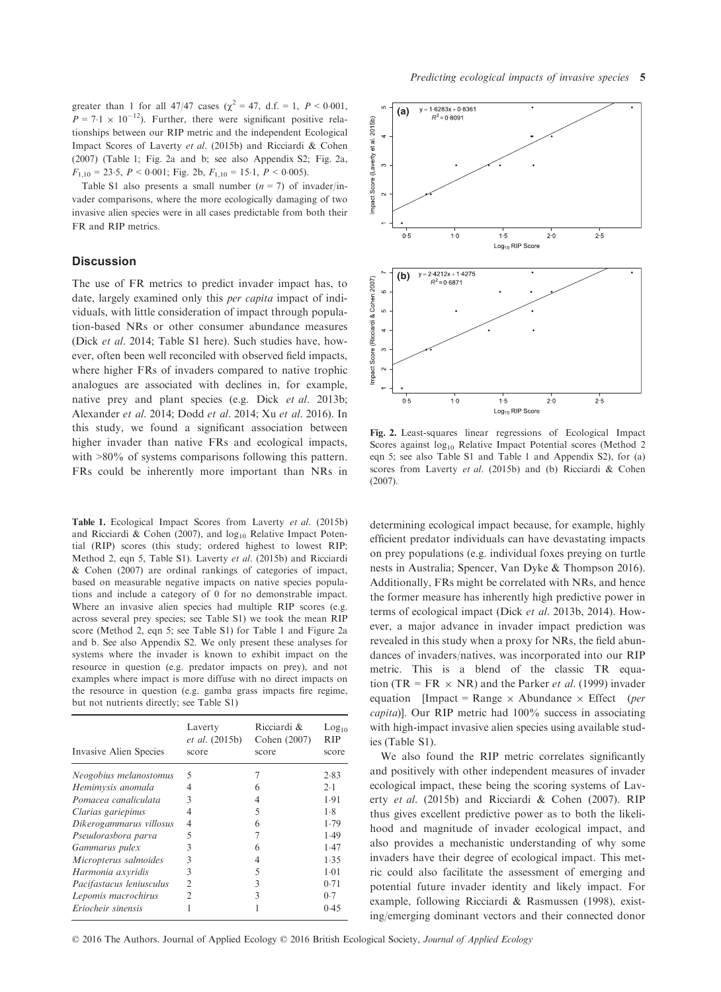greater than 1 for all 47/47 cases ( $\chi^2 = 47$ , d.f. = 1, P < 0.001,  $P = 7.1 \times 10^{-12}$ ). Further, there were significant positive relationships between our RIP metric and the independent Ecological Impact Scores of Laverty et al. (2015b) and Ricciardi & Cohen (2007) (Table 1; Fig. 2a and b; see also Appendix S2; Fig. 2a,  $F_{1,10} = 23.5$ ,  $P \le 0.001$ ; Fig. 2b,  $F_{1,10} = 15.1$ ,  $P \le 0.005$ ).

Table S1 also presents a small number  $(n = 7)$  of invader/invader comparisons, where the more ecologically damaging of two invasive alien species were in all cases predictable from both their FR and RIP metrics.

#### **Discussion**

The use of FR metrics to predict invader impact has, to date, largely examined only this per capita impact of individuals, with little consideration of impact through population-based NRs or other consumer abundance measures (Dick et al. 2014; Table S1 here). Such studies have, however, often been well reconciled with observed field impacts, where higher FRs of invaders compared to native trophic analogues are associated with declines in, for example, native prey and plant species (e.g. Dick et al. 2013b; Alexander et al. 2014; Dodd et al. 2014; Xu et al. 2016). In this study, we found a significant association between higher invader than native FRs and ecological impacts, with  $>80\%$  of systems comparisons following this pattern. FRs could be inherently more important than NRs in

Table 1. Ecological Impact Scores from Laverty et al. (2015b) and Ricciardi & Cohen (2007), and  $log_{10}$  Relative Impact Potential (RIP) scores (this study; ordered highest to lowest RIP; Method 2, eqn 5, Table S1). Laverty et al. (2015b) and Ricciardi & Cohen (2007) are ordinal rankings of categories of impact, based on measurable negative impacts on native species populations and include a category of 0 for no demonstrable impact. Where an invasive alien species had multiple RIP scores (e.g. across several prey species; see Table S1) we took the mean RIP score (Method 2, eqn 5; see Table S1) for Table 1 and Figure 2a and b. See also Appendix S2. We only present these analyses for systems where the invader is known to exhibit impact on the resource in question (e.g. predator impacts on prey), and not examples where impact is more diffuse with no direct impacts on the resource in question (e.g. gamba grass impacts fire regime, but not nutrients directly; see Table S1)

| Invasive Alien Species   | Laverty<br><i>et al.</i> (2015b)<br>score | Ricciardi &<br>Cohen (2007)<br>score | Log <sub>10</sub><br><b>RIP</b><br>score |
|--------------------------|-------------------------------------------|--------------------------------------|------------------------------------------|
| Neogobius melanostomus   | 5                                         |                                      | 2.83                                     |
| Hemimysis anomala        | 4                                         | 6                                    | 2.1                                      |
| Pomacea canaliculata     | 3                                         | 4                                    | 1.91                                     |
| Clarias gariepinus       | 4                                         | 5                                    | 1.8                                      |
| Dikerogammarus villosus  | 4                                         | 6                                    | 1.79                                     |
| Pseudorasbora parva      | 5                                         |                                      | 1.49                                     |
| Gammarus pulex           | 3                                         | 6                                    | 1.47                                     |
| Micropterus salmoides    | 3                                         | 4                                    | 1.35                                     |
| Harmonia axyridis        | 3                                         | 5                                    | $1-01$                                   |
| Pacifastacus leniusculus | $\overline{c}$                            | 3                                    | 0.71                                     |
| Lepomis macrochirus      | 2                                         | 3                                    | 0.7                                      |
| Eriocheir sinensis       |                                           |                                      | 0.45                                     |



Fig. 2. Least-squares linear regressions of Ecological Impact Scores against  $log_{10}$  Relative Impact Potential scores (Method 2 eqn 5; see also Table S1 and Table 1 and Appendix S2), for (a) scores from Laverty et al. (2015b) and (b) Ricciardi & Cohen (2007).

determining ecological impact because, for example, highly efficient predator individuals can have devastating impacts on prey populations (e.g. individual foxes preying on turtle nests in Australia; Spencer, Van Dyke & Thompson 2016). Additionally, FRs might be correlated with NRs, and hence the former measure has inherently high predictive power in terms of ecological impact (Dick et al. 2013b, 2014). However, a major advance in invader impact prediction was revealed in this study when a proxy for NRs, the field abundances of invaders/natives, was incorporated into our RIP metric. This is a blend of the classic TR equation (TR = FR  $\times$  NR) and the Parker *et al.* (1999) invader equation [Impact = Range  $\times$  Abundance  $\times$  Effect (per capita)]. Our RIP metric had 100% success in associating with high-impact invasive alien species using available studies (Table S1).

We also found the RIP metric correlates significantly and positively with other independent measures of invader ecological impact, these being the scoring systems of Laverty et al. (2015b) and Ricciardi & Cohen (2007). RIP thus gives excellent predictive power as to both the likelihood and magnitude of invader ecological impact, and also provides a mechanistic understanding of why some invaders have their degree of ecological impact. This metric could also facilitate the assessment of emerging and potential future invader identity and likely impact. For example, following Ricciardi & Rasmussen (1998), existing/emerging dominant vectors and their connected donor

© 2016 The Authors. Journal of Applied Ecology © 2016 British Ecological Society, Journal of Applied Ecology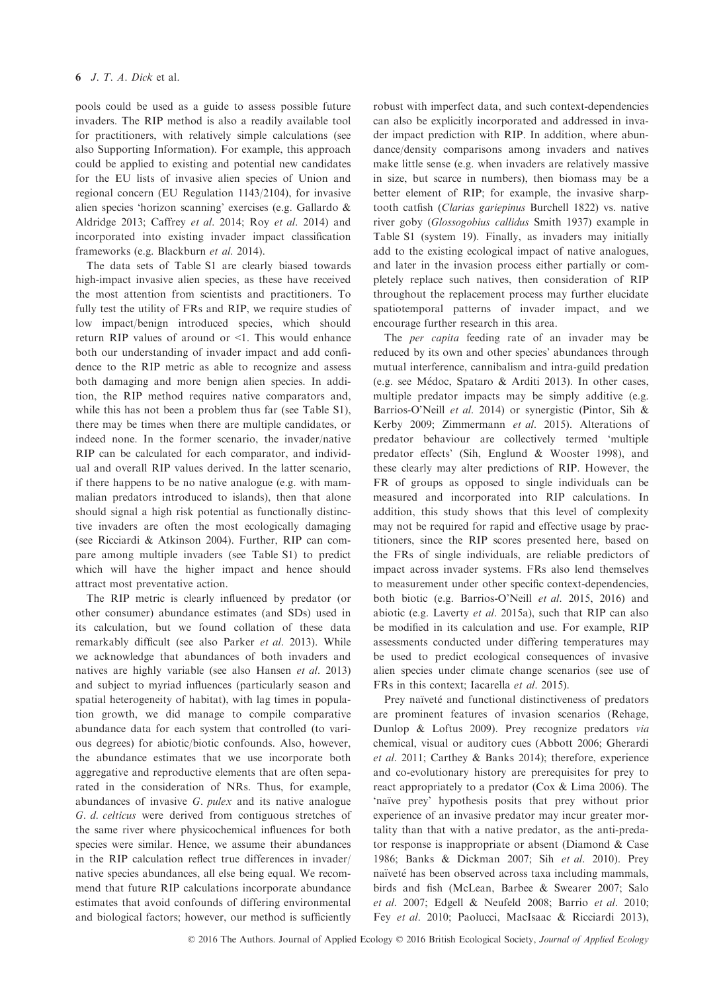pools could be used as a guide to assess possible future invaders. The RIP method is also a readily available tool for practitioners, with relatively simple calculations (see also Supporting Information). For example, this approach could be applied to existing and potential new candidates for the EU lists of invasive alien species of Union and regional concern (EU Regulation 1143/2104), for invasive alien species 'horizon scanning' exercises (e.g. Gallardo & Aldridge 2013; Caffrey et al. 2014; Roy et al. 2014) and incorporated into existing invader impact classification frameworks (e.g. Blackburn et al. 2014).

The data sets of Table S1 are clearly biased towards high-impact invasive alien species, as these have received the most attention from scientists and practitioners. To fully test the utility of FRs and RIP, we require studies of low impact/benign introduced species, which should return RIP values of around or <1. This would enhance both our understanding of invader impact and add confidence to the RIP metric as able to recognize and assess both damaging and more benign alien species. In addition, the RIP method requires native comparators and, while this has not been a problem thus far (see Table S1), there may be times when there are multiple candidates, or indeed none. In the former scenario, the invader/native RIP can be calculated for each comparator, and individual and overall RIP values derived. In the latter scenario, if there happens to be no native analogue (e.g. with mammalian predators introduced to islands), then that alone should signal a high risk potential as functionally distinctive invaders are often the most ecologically damaging (see Ricciardi & Atkinson 2004). Further, RIP can compare among multiple invaders (see Table S1) to predict which will have the higher impact and hence should attract most preventative action.

The RIP metric is clearly influenced by predator (or other consumer) abundance estimates (and SDs) used in its calculation, but we found collation of these data remarkably difficult (see also Parker et al. 2013). While we acknowledge that abundances of both invaders and natives are highly variable (see also Hansen et al. 2013) and subject to myriad influences (particularly season and spatial heterogeneity of habitat), with lag times in population growth, we did manage to compile comparative abundance data for each system that controlled (to various degrees) for abiotic/biotic confounds. Also, however, the abundance estimates that we use incorporate both aggregative and reproductive elements that are often separated in the consideration of NRs. Thus, for example, abundances of invasive G. pulex and its native analogue G. d. celticus were derived from contiguous stretches of the same river where physicochemical influences for both species were similar. Hence, we assume their abundances in the RIP calculation reflect true differences in invader/ native species abundances, all else being equal. We recommend that future RIP calculations incorporate abundance estimates that avoid confounds of differing environmental and biological factors; however, our method is sufficiently robust with imperfect data, and such context-dependencies can also be explicitly incorporated and addressed in invader impact prediction with RIP. In addition, where abundance/density comparisons among invaders and natives make little sense (e.g. when invaders are relatively massive in size, but scarce in numbers), then biomass may be a better element of RIP; for example, the invasive sharptooth catfish (Clarias gariepinus Burchell 1822) vs. native river goby (Glossogobius callidus Smith 1937) example in Table S1 (system 19). Finally, as invaders may initially add to the existing ecological impact of native analogues, and later in the invasion process either partially or completely replace such natives, then consideration of RIP throughout the replacement process may further elucidate spatiotemporal patterns of invader impact, and we encourage further research in this area.

The *per capita* feeding rate of an invader may be reduced by its own and other species' abundances through mutual interference, cannibalism and intra-guild predation (e.g. see Medoc, Spataro & Arditi 2013). In other cases, multiple predator impacts may be simply additive (e.g. Barrios-O'Neill et al. 2014) or synergistic (Pintor, Sih & Kerby 2009; Zimmermann et al. 2015). Alterations of predator behaviour are collectively termed 'multiple predator effects' (Sih, Englund & Wooster 1998), and these clearly may alter predictions of RIP. However, the FR of groups as opposed to single individuals can be measured and incorporated into RIP calculations. In addition, this study shows that this level of complexity may not be required for rapid and effective usage by practitioners, since the RIP scores presented here, based on the FRs of single individuals, are reliable predictors of impact across invader systems. FRs also lend themselves to measurement under other specific context-dependencies, both biotic (e.g. Barrios-O'Neill et al. 2015, 2016) and abiotic (e.g. Laverty et al. 2015a), such that RIP can also be modified in its calculation and use. For example, RIP assessments conducted under differing temperatures may be used to predict ecological consequences of invasive alien species under climate change scenarios (see use of FRs in this context; Iacarella et al. 2015).

Prey naïveté and functional distinctiveness of predators are prominent features of invasion scenarios (Rehage, Dunlop & Loftus 2009). Prey recognize predators via chemical, visual or auditory cues (Abbott 2006; Gherardi et al. 2011; Carthey & Banks 2014); therefore, experience and co-evolutionary history are prerequisites for prey to react appropriately to a predator (Cox & Lima 2006). The 'naïve prey' hypothesis posits that prey without prior experience of an invasive predator may incur greater mortality than that with a native predator, as the anti-predator response is inappropriate or absent (Diamond & Case 1986; Banks & Dickman 2007; Sih et al. 2010). Prey naïveté has been observed across taxa including mammals, birds and fish (McLean, Barbee & Swearer 2007; Salo et al. 2007; Edgell & Neufeld 2008; Barrio et al. 2010; Fey et al. 2010; Paolucci, MacIsaac & Ricciardi 2013),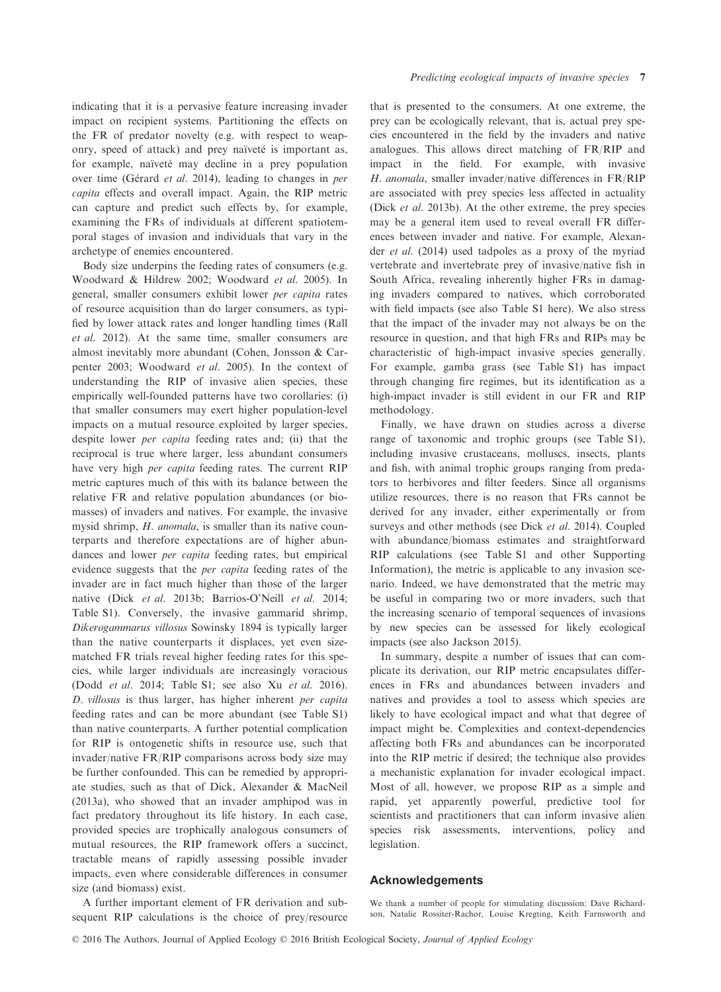indicating that it is a pervasive feature increasing invader impact on recipient systems. Partitioning the effects on the FR of predator novelty (e.g. with respect to weaponry, speed of attack) and prey naïveté is important as, for example, naïveté may decline in a prey population over time (Gérard et al. 2014), leading to changes in per capita effects and overall impact. Again, the RIP metric can capture and predict such effects by, for example, examining the FRs of individuals at different spatiotemporal stages of invasion and individuals that vary in the archetype of enemies encountered.

Body size underpins the feeding rates of consumers (e.g. Woodward & Hildrew 2002; Woodward et al. 2005). In general, smaller consumers exhibit lower per capita rates of resource acquisition than do larger consumers, as typified by lower attack rates and longer handling times (Rall et al. 2012). At the same time, smaller consumers are almost inevitably more abundant (Cohen, Jonsson & Carpenter 2003; Woodward et al. 2005). In the context of understanding the RIP of invasive alien species, these empirically well-founded patterns have two corollaries: (i) that smaller consumers may exert higher population-level impacts on a mutual resource exploited by larger species, despite lower per capita feeding rates and; (ii) that the reciprocal is true where larger, less abundant consumers have very high per capita feeding rates. The current RIP metric captures much of this with its balance between the relative FR and relative population abundances (or biomasses) of invaders and natives. For example, the invasive mysid shrimp, H. anomala, is smaller than its native counterparts and therefore expectations are of higher abundances and lower per capita feeding rates, but empirical evidence suggests that the per capita feeding rates of the invader are in fact much higher than those of the larger native (Dick et al. 2013b; Barrios-O'Neill et al. 2014; Table S1). Conversely, the invasive gammarid shrimp, Dikerogammarus villosus Sowinsky 1894 is typically larger than the native counterparts it displaces, yet even sizematched FR trials reveal higher feeding rates for this species, while larger individuals are increasingly voracious (Dodd et al. 2014; Table S1; see also Xu et al. 2016). D. villosus is thus larger, has higher inherent per capita feeding rates and can be more abundant (see Table S1) than native counterparts. A further potential complication for RIP is ontogenetic shifts in resource use, such that invader/native FR/RIP comparisons across body size may be further confounded. This can be remedied by appropriate studies, such as that of Dick, Alexander & MacNeil (2013a), who showed that an invader amphipod was in fact predatory throughout its life history. In each case, provided species are trophically analogous consumers of mutual resources, the RIP framework offers a succinct, tractable means of rapidly assessing possible invader impacts, even where considerable differences in consumer size (and biomass) exist.

Predicting ecological impacts of invasive species 7

prey can be ecologically relevant, that is, actual prey species encountered in the field by the invaders and native analogues. This allows direct matching of FR/RIP and impact in the field. For example, with invasive H. anomala, smaller invader/native differences in FR/RIP are associated with prey species less affected in actuality (Dick et al. 2013b). At the other extreme, the prey species may be a general item used to reveal overall FR differences between invader and native. For example, Alexander et al. (2014) used tadpoles as a proxy of the myriad vertebrate and invertebrate prey of invasive/native fish in South Africa, revealing inherently higher FRs in damaging invaders compared to natives, which corroborated with field impacts (see also Table S1 here). We also stress that the impact of the invader may not always be on the resource in question, and that high FRs and RIPs may be characteristic of high-impact invasive species generally. For example, gamba grass (see Table S1) has impact through changing fire regimes, but its identification as a high-impact invader is still evident in our FR and RIP methodology.

Finally, we have drawn on studies across a diverse range of taxonomic and trophic groups (see Table S1), including invasive crustaceans, molluscs, insects, plants and fish, with animal trophic groups ranging from predators to herbivores and filter feeders. Since all organisms utilize resources, there is no reason that FRs cannot be derived for any invader, either experimentally or from surveys and other methods (see Dick et al. 2014). Coupled with abundance/biomass estimates and straightforward RIP calculations (see Table S1 and other Supporting Information), the metric is applicable to any invasion scenario. Indeed, we have demonstrated that the metric may be useful in comparing two or more invaders, such that the increasing scenario of temporal sequences of invasions by new species can be assessed for likely ecological impacts (see also Jackson 2015).

In summary, despite a number of issues that can complicate its derivation, our RIP metric encapsulates differences in FRs and abundances between invaders and natives and provides a tool to assess which species are likely to have ecological impact and what that degree of impact might be. Complexities and context-dependencies affecting both FRs and abundances can be incorporated into the RIP metric if desired; the technique also provides a mechanistic explanation for invader ecological impact. Most of all, however, we propose RIP as a simple and rapid, yet apparently powerful, predictive tool for scientists and practitioners that can inform invasive alien species risk assessments, interventions, policy and legislation.

## Acknowledgements

A further important element of FR derivation and subsequent RIP calculations is the choice of prey/resource We thank a number of people for stimulating discussion: Dave Richardson, Natalie Rossiter-Rachor, Louise Kregting, Keith Farnsworth and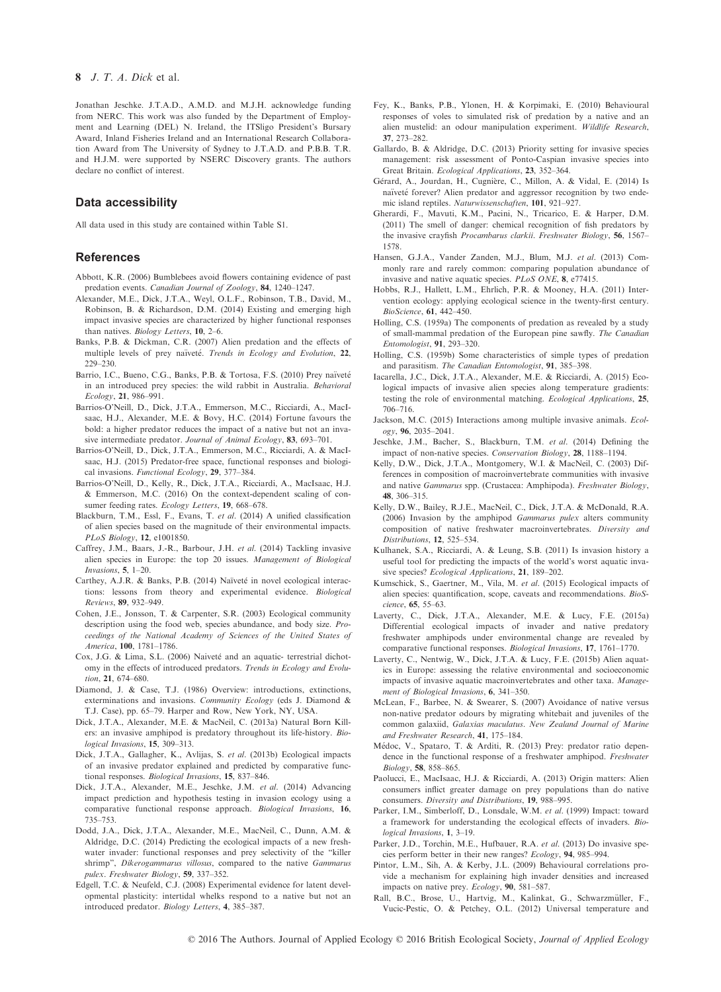Jonathan Jeschke. J.T.A.D., A.M.D. and M.J.H. acknowledge funding from NERC. This work was also funded by the Department of Employment and Learning (DEL) N. Ireland, the ITSligo President's Bursary Award, Inland Fisheries Ireland and an International Research Collaboration Award from The University of Sydney to J.T.A.D. and P.B.B. T.R. and H.J.M. were supported by NSERC Discovery grants. The authors declare no conflict of interest.

#### Data accessibility

All data used in this study are contained within Table S1.

#### References

- Abbott, K.R. (2006) Bumblebees avoid flowers containing evidence of past predation events. Canadian Journal of Zoology, 84, 1240–1247.
- Alexander, M.E., Dick, J.T.A., Weyl, O.L.F., Robinson, T.B., David, M., Robinson, B. & Richardson, D.M. (2014) Existing and emerging high impact invasive species are characterized by higher functional responses than natives. Biology Letters, 10, 2–6.
- Banks, P.B. & Dickman, C.R. (2007) Alien predation and the effects of multiple levels of prey naïveté. Trends in Ecology and Evolution, 22, 229–230.
- Barrio, I.C., Bueno, C.G., Banks, P.B. & Tortosa, F.S. (2010) Prey naïveté in an introduced prey species: the wild rabbit in Australia. Behavioral Ecology, 21, 986–991.
- Barrios-O'Neill, D., Dick, J.T.A., Emmerson, M.C., Ricciardi, A., MacIsaac, H.J., Alexander, M.E. & Bovy, H.C. (2014) Fortune favours the bold: a higher predator reduces the impact of a native but not an invasive intermediate predator. Journal of Animal Ecology, 83, 693–701.
- Barrios-O'Neill, D., Dick, J.T.A., Emmerson, M.C., Ricciardi, A. & MacIsaac, H.J. (2015) Predator-free space, functional responses and biological invasions. Functional Ecology, 29, 377–384.
- Barrios-O'Neill, D., Kelly, R., Dick, J.T.A., Ricciardi, A., MacIsaac, H.J. & Emmerson, M.C. (2016) On the context-dependent scaling of consumer feeding rates. Ecology Letters, 19, 668–678.
- Blackburn, T.M., Essl, F., Evans, T. et al. (2014) A unified classification of alien species based on the magnitude of their environmental impacts. PLoS Biology, 12, e1001850.
- Caffrey, J.M., Baars, J.-R., Barbour, J.H. et al. (2014) Tackling invasive alien species in Europe: the top 20 issues. Management of Biological Invasions, 5, 1–20.
- Carthey, A.J.R. & Banks, P.B. (2014) Naïveté in novel ecological interactions: lessons from theory and experimental evidence. Biological Reviews, 89, 932–949.
- Cohen, J.E., Jonsson, T. & Carpenter, S.R. (2003) Ecological community description using the food web, species abundance, and body size. Proceedings of the National Academy of Sciences of the United States of America, 100, 1781–1786.
- Cox, J.G. & Lima, S.L. (2006) Naiveté and an aquatic- terrestrial dichotomy in the effects of introduced predators. Trends in Ecology and Evolution, 21, 674–680.
- Diamond, J. & Case, T.J. (1986) Overview: introductions, extinctions, exterminations and invasions. Community Ecology (eds J. Diamond & T.J. Case), pp. 65–79. Harper and Row, New York, NY, USA.
- Dick, J.T.A., Alexander, M.E. & MacNeil, C. (2013a) Natural Born Killers: an invasive amphipod is predatory throughout its life-history. Biological Invasions, 15, 309–313.
- Dick, J.T.A., Gallagher, K., Avlijas, S. et al. (2013b) Ecological impacts of an invasive predator explained and predicted by comparative functional responses. Biological Invasions, 15, 837–846.
- Dick, J.T.A., Alexander, M.E., Jeschke, J.M. et al. (2014) Advancing impact prediction and hypothesis testing in invasion ecology using a comparative functional response approach. Biological Invasions, 16, 735–753.
- Dodd, J.A., Dick, J.T.A., Alexander, M.E., MacNeil, C., Dunn, A.M. & Aldridge, D.C. (2014) Predicting the ecological impacts of a new freshwater invader: functional responses and prey selectivity of the "killer shrimp", Dikerogammarus villosus, compared to the native Gammarus pulex. Freshwater Biology, 59, 337–352.
- Edgell, T.C. & Neufeld, C.J. (2008) Experimental evidence for latent developmental plasticity: intertidal whelks respond to a native but not an introduced predator. Biology Letters, 4, 385–387.
- Fey, K., Banks, P.B., Ylonen, H. & Korpimaki, E. (2010) Behavioural responses of voles to simulated risk of predation by a native and an alien mustelid: an odour manipulation experiment. Wildlife Research, 37, 273–282.
- Gallardo, B. & Aldridge, D.C. (2013) Priority setting for invasive species management: risk assessment of Ponto-Caspian invasive species into Great Britain. Ecological Applications, 23, 352–364.
- Gerard, A., Jourdan, H., Cugniere, C., Millon, A. & Vidal, E. (2014) Is naïveté forever? Alien predator and aggressor recognition by two endemic island reptiles. Naturwissenschaften, 101, 921–927.
- Gherardi, F., Mavuti, K.M., Pacini, N., Tricarico, E. & Harper, D.M. (2011) The smell of danger: chemical recognition of fish predators by the invasive crayfish Procambarus clarkii. Freshwater Biology, 56, 1567– 1578.
- Hansen, G.J.A., Vander Zanden, M.J., Blum, M.J. et al. (2013) Commonly rare and rarely common: comparing population abundance of invasive and native aquatic species. PLoS ONE, 8, e77415.
- Hobbs, R.J., Hallett, L.M., Ehrlich, P.R. & Mooney, H.A. (2011) Intervention ecology: applying ecological science in the twenty-first century. BioScience, 61, 442–450.
- Holling, C.S. (1959a) The components of predation as revealed by a study of small-mammal predation of the European pine sawfly. The Canadian Entomologist, 91, 293–320.
- Holling, C.S. (1959b) Some characteristics of simple types of predation and parasitism. The Canadian Entomologist, 91, 385–398.
- Iacarella, J.C., Dick, J.T.A., Alexander, M.E. & Ricciardi, A. (2015) Ecological impacts of invasive alien species along temperature gradients: testing the role of environmental matching. Ecological Applications, 25, 706–716.
- Jackson, M.C. (2015) Interactions among multiple invasive animals. Ecol- $09y, 96, 2035-2041.$
- Jeschke, J.M., Bacher, S., Blackburn, T.M. et al. (2014) Defining the impact of non-native species. Conservation Biology, 28, 1188–1194.
- Kelly, D.W., Dick, J.T.A., Montgomery, W.I. & MacNeil, C. (2003) Differences in composition of macroinvertebrate communities with invasive and native Gammarus spp. (Crustacea: Amphipoda). Freshwater Biology, 48, 306–315.
- Kelly, D.W., Bailey, R.J.E., MacNeil, C., Dick, J.T.A. & McDonald, R.A. (2006) Invasion by the amphipod Gammarus pulex alters community composition of native freshwater macroinvertebrates. Diversity and Distributions, 12, 525–534.
- Kulhanek, S.A., Ricciardi, A. & Leung, S.B. (2011) Is invasion history a useful tool for predicting the impacts of the world's worst aquatic invasive species? Ecological Applications, 21, 189–202.
- Kumschick, S., Gaertner, M., Vila, M. et al. (2015) Ecological impacts of alien species: quantification, scope, caveats and recommendations. BioScience, 65, 55–63.
- Laverty, C., Dick, J.T.A., Alexander, M.E. & Lucy, F.E. (2015a) Differential ecological impacts of invader and native predatory freshwater amphipods under environmental change are revealed by comparative functional responses. Biological Invasions, 17, 1761–1770.
- Laverty, C., Nentwig, W., Dick, J.T.A. & Lucy, F.E. (2015b) Alien aquatics in Europe: assessing the relative environmental and socioeconomic impacts of invasive aquatic macroinvertebrates and other taxa. Management of Biological Invasions, 6, 341–350.
- McLean, F., Barbee, N. & Swearer, S. (2007) Avoidance of native versus non-native predator odours by migrating whitebait and juveniles of the common galaxiid, Galaxias maculatus. New Zealand Journal of Marine and Freshwater Research, 41, 175–184.
- Medoc, V., Spataro, T. & Arditi, R. (2013) Prey: predator ratio dependence in the functional response of a freshwater amphipod. Freshwater Biology, 58, 858–865.
- Paolucci, E., MacIsaac, H.J. & Ricciardi, A. (2013) Origin matters: Alien consumers inflict greater damage on prey populations than do native consumers. Diversity and Distributions, 19, 988–995.
- Parker, I.M., Simberloff, D., Lonsdale, W.M. et al. (1999) Impact: toward a framework for understanding the ecological effects of invaders. Biological Invasions, 1, 3–19.
- Parker, J.D., Torchin, M.E., Hufbauer, R.A. et al. (2013) Do invasive species perform better in their new ranges? Ecology, 94, 985–994.
- Pintor, L.M., Sih, A. & Kerby, J.L. (2009) Behavioural correlations provide a mechanism for explaining high invader densities and increased impacts on native prey. Ecology, 90, 581–587.
- Rall, B.C., Brose, U., Hartvig, M., Kalinkat, G., Schwarzmüller, F., Vucic-Pestic, O. & Petchey, O.L. (2012) Universal temperature and